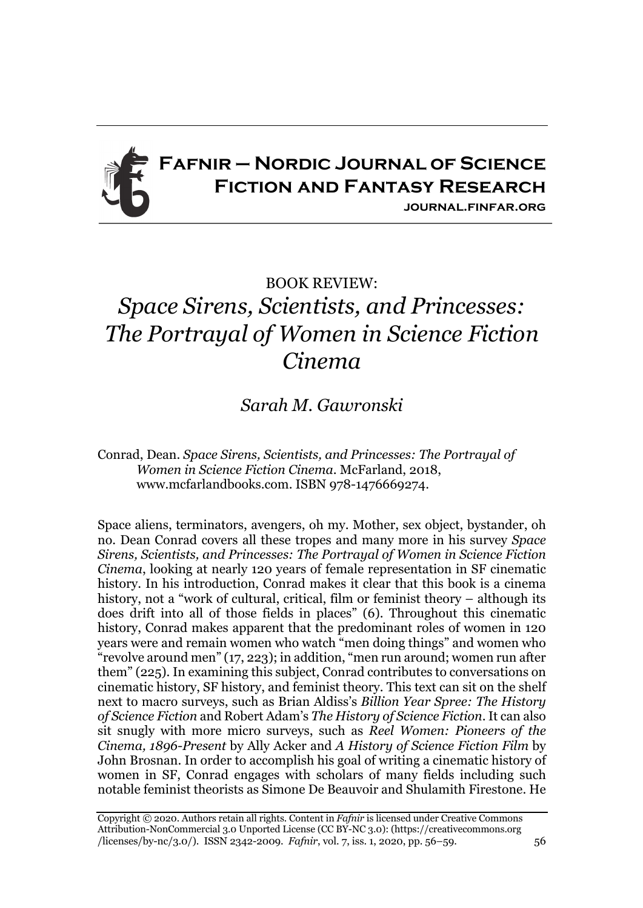

## BOOK REVIEW: *Space Sirens, Scientists, and Princesses: The Portrayal of Women in Science Fiction Cinema*

*Sarah M. Gawronski*

Conrad, Dean. *Space Sirens, Scientists, and Princesses: The Portrayal of Women in Science Fiction Cinema*. McFarland, 2018, www.mcfarlandbooks.com. ISBN 978-1476669274.

Space aliens, terminators, avengers, oh my. Mother, sex object, bystander, oh no. Dean Conrad covers all these tropes and many more in his survey *Space Sirens, Scientists, and Princesses: The Portrayal of Women in Science Fiction Cinema*, looking at nearly 120 years of female representation in SF cinematic history. In his introduction, Conrad makes it clear that this book is a cinema history, not a "work of cultural, critical, film or feminist theory – although its does drift into all of those fields in places" (6). Throughout this cinematic history, Conrad makes apparent that the predominant roles of women in 120 years were and remain women who watch "men doing things" and women who "revolve around men" (17, 223); in addition, "men run around; women run after them" (225). In examining this subject, Conrad contributes to conversations on cinematic history, SF history, and feminist theory. This text can sit on the shelf next to macro surveys, such as Brian Aldiss's *Billion Year Spree: The History of Science Fiction* and Robert Adam's *The History of Science Fiction*. It can also sit snugly with more micro surveys, such as *Reel Women: Pioneers of the Cinema, 1896-Present* by Ally Acker and *A History of Science Fiction Film* by John Brosnan. In order to accomplish his goal of writing a cinematic history of women in SF, Conrad engages with scholars of many fields including such notable feminist theorists as Simone De Beauvoir and Shulamith Firestone. He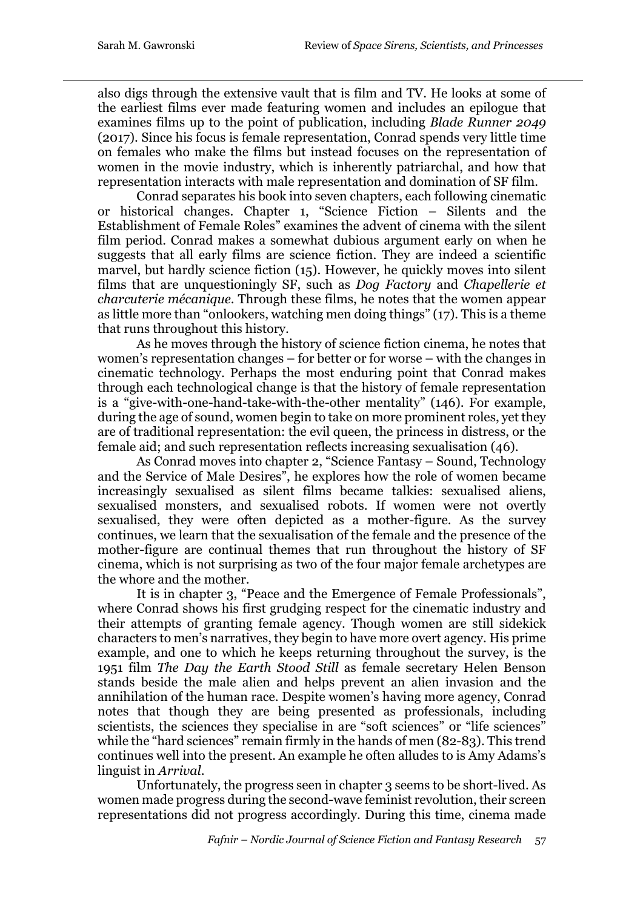also digs through the extensive vault that is film and TV. He looks at some of the earliest films ever made featuring women and includes an epilogue that examines films up to the point of publication, including *Blade Runner 2049*  (2017). Since his focus is female representation, Conrad spends very little time on females who make the films but instead focuses on the representation of women in the movie industry, which is inherently patriarchal, and how that representation interacts with male representation and domination of SF film.

Conrad separates his book into seven chapters, each following cinematic or historical changes. Chapter 1, "Science Fiction – Silents and the Establishment of Female Roles" examines the advent of cinema with the silent film period. Conrad makes a somewhat dubious argument early on when he suggests that all early films are science fiction. They are indeed a scientific marvel, but hardly science fiction (15). However, he quickly moves into silent films that are unquestioningly SF, such as *Dog Factory* and *Chapellerie et charcuterie mécanique*. Through these films, he notes that the women appear as little more than "onlookers, watching men doing things" (17). This is a theme that runs throughout this history.

As he moves through the history of science fiction cinema, he notes that women's representation changes – for better or for worse – with the changes in cinematic technology. Perhaps the most enduring point that Conrad makes through each technological change is that the history of female representation is a "give-with-one-hand-take-with-the-other mentality" (146). For example, during the age of sound, women begin to take on more prominent roles, yet they are of traditional representation: the evil queen, the princess in distress, or the female aid; and such representation reflects increasing sexualisation (46).

As Conrad moves into chapter 2, "Science Fantasy – Sound, Technology and the Service of Male Desires", he explores how the role of women became increasingly sexualised as silent films became talkies: sexualised aliens, sexualised monsters, and sexualised robots. If women were not overtly sexualised, they were often depicted as a mother-figure. As the survey continues, we learn that the sexualisation of the female and the presence of the mother-figure are continual themes that run throughout the history of SF cinema, which is not surprising as two of the four major female archetypes are the whore and the mother.

It is in chapter 3, "Peace and the Emergence of Female Professionals", where Conrad shows his first grudging respect for the cinematic industry and their attempts of granting female agency. Though women are still sidekick characters to men's narratives, they begin to have more overt agency. His prime example, and one to which he keeps returning throughout the survey, is the 1951 film *The Day the Earth Stood Still* as female secretary Helen Benson stands beside the male alien and helps prevent an alien invasion and the annihilation of the human race. Despite women's having more agency, Conrad notes that though they are being presented as professionals, including scientists, the sciences they specialise in are "soft sciences" or "life sciences" while the "hard sciences" remain firmly in the hands of men (82-83). This trend continues well into the present. An example he often alludes to is Amy Adams's linguist in *Arrival*.

Unfortunately, the progress seen in chapter 3 seems to be short-lived. As women made progress during the second-wave feminist revolution, their screen representations did not progress accordingly. During this time, cinema made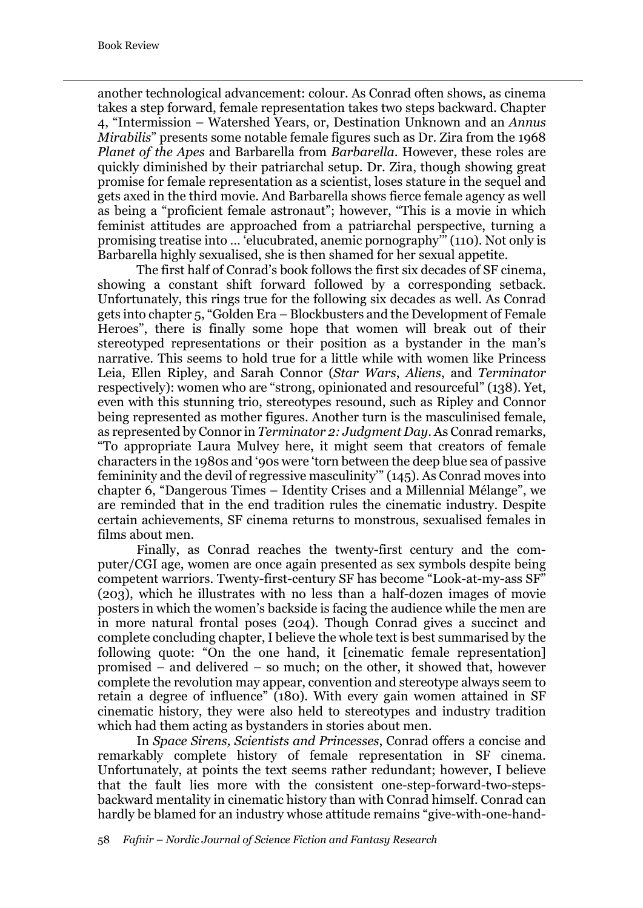another technological advancement: colour. As Conrad often shows, as cinema takes a step forward, female representation takes two steps backward. Chapter 4, "Intermission – Watershed Years, or, Destination Unknown and an *Annus Mirabilis*" presents some notable female figures such as Dr. Zira from the 1968 *Planet of the Apes* and Barbarella from *Barbarella*. However, these roles are quickly diminished by their patriarchal setup. Dr. Zira, though showing great promise for female representation as a scientist, loses stature in the sequel and gets axed in the third movie. And Barbarella shows fierce female agency as well as being a "proficient female astronaut"; however, "This is a movie in which feminist attitudes are approached from a patriarchal perspective, turning a promising treatise into … 'elucubrated, anemic pornography'" (110). Not only is Barbarella highly sexualised, she is then shamed for her sexual appetite.

The first half of Conrad's book follows the first six decades of SF cinema, showing a constant shift forward followed by a corresponding setback. Unfortunately, this rings true for the following six decades as well. As Conrad gets into chapter 5, "Golden Era – Blockbusters and the Development of Female Heroes", there is finally some hope that women will break out of their stereotyped representations or their position as a bystander in the man's narrative. This seems to hold true for a little while with women like Princess Leia, Ellen Ripley, and Sarah Connor (*Star Wars*, *Aliens*, and *Terminator*  respectively): women who are "strong, opinionated and resourceful" (138). Yet, even with this stunning trio, stereotypes resound, such as Ripley and Connor being represented as mother figures. Another turn is the masculinised female, as represented by Connor in *Terminator 2: Judgment Day*. As Conrad remarks, "To appropriate Laura Mulvey here, it might seem that creators of female characters in the 1980s and '90s were 'torn between the deep blue sea of passive femininity and the devil of regressive masculinity'" (145). As Conrad moves into chapter 6, "Dangerous Times – Identity Crises and a Millennial Mélange", we are reminded that in the end tradition rules the cinematic industry. Despite certain achievements, SF cinema returns to monstrous, sexualised females in films about men.

Finally, as Conrad reaches the twenty-first century and the computer/CGI age, women are once again presented as sex symbols despite being competent warriors. Twenty-first-century SF has become "Look-at-my-ass SF" (203), which he illustrates with no less than a half-dozen images of movie posters in which the women's backside is facing the audience while the men are in more natural frontal poses (204). Though Conrad gives a succinct and complete concluding chapter, I believe the whole text is best summarised by the following quote: "On the one hand, it [cinematic female representation] promised – and delivered – so much; on the other, it showed that, however complete the revolution may appear, convention and stereotype always seem to retain a degree of influence" (180). With every gain women attained in SF cinematic history, they were also held to stereotypes and industry tradition which had them acting as bystanders in stories about men.

In *Space Sirens, Scientists and Princesses*, Conrad offers a concise and remarkably complete history of female representation in SF cinema. Unfortunately, at points the text seems rather redundant; however, I believe that the fault lies more with the consistent one-step-forward-two-stepsbackward mentality in cinematic history than with Conrad himself. Conrad can hardly be blamed for an industry whose attitude remains "give-with-one-hand-